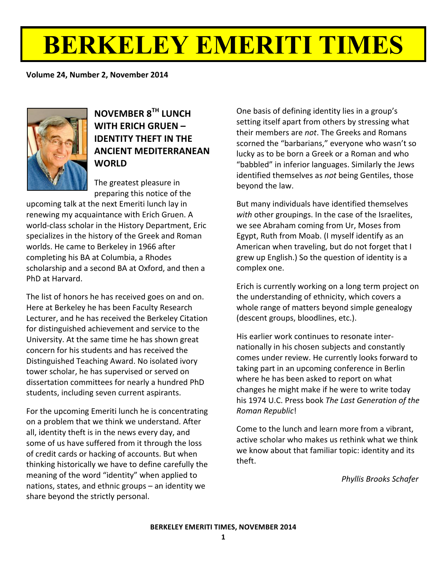# **BERKELEY EMERITI TIMES**

**Volume 24, Number 2, November 2014** 



**NOVEMBER!8TH LUNCH! WITH!ERICH GRUEN!– IDENTITY THEFT IN THE ANCIENT!MEDITERRANEAN! WORLD**

The greatest pleasure in preparing this notice of the

upcoming talk at the next Emeriti lunch lay in renewing my acquaintance with Erich Gruen. A world-class scholar in the History Department, Eric specializes in the history of the Greek and Roman worlds. He came to Berkeley in 1966 after completing his BA at Columbia, a Rhodes scholarship and a second BA at Oxford, and then a PhD at Harvard.

The list of honors he has received goes on and on. Here at Berkeley he has been Faculty Research Lecturer, and he has received the Berkeley Citation for distinguished achievement and service to the University. At the same time he has shown great concern for his students and has received the Distinguished Teaching Award. No isolated ivory tower scholar, he has supervised or served on dissertation committees for nearly a hundred PhD students, including seven current aspirants.

For the upcoming Emeriti lunch he is concentrating on a problem that we think we understand. After all, identity theft is in the news every day, and some of us have suffered from it through the loss of credit cards or hacking of accounts. But when thinking historically we have to define carefully the meaning of the word "identity" when applied to nations, states, and ethnic groups  $-$  an identity we share beyond the strictly personal.

One basis of defining identity lies in a group's setting itself apart from others by stressing what their members are *not*. The Greeks and Romans scorned the "barbarians," everyone who wasn't so lucky as to be born a Greek or a Roman and who "babbled" in inferior languages. Similarly the Jews identified themselves as *not* being Gentiles, those beyond the law.

But many individuals have identified themselves with other groupings. In the case of the Israelites, we see Abraham coming from Ur, Moses from Egypt, Ruth from Moab. (I myself identify as an American when traveling, but do not forget that I grew up English.) So the question of identity is a complex one.

Erich is currently working on a long term project on the understanding of ethnicity, which covers a whole range of matters beyond simple genealogy (descent groups, bloodlines, etc.).

His earlier work continues to resonate internationally in his chosen subjects and constantly comes under review. He currently looks forward to taking part in an upcoming conference in Berlin where he has been asked to report on what changes he might make if he were to write today his!1974!U.C.!Press!book!*The)Last)Generation)of)the) Roman)Republic*!

Come to the lunch and learn more from a vibrant, active scholar who makes us rethink what we think we know about that familiar topic: identity and its theft.

**Phyllis Brooks Schafer**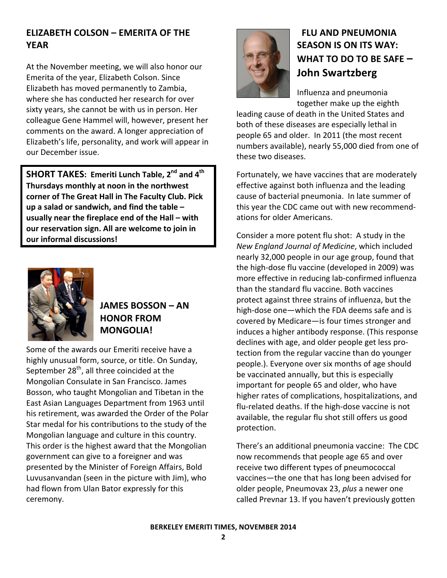# **ELIZABETH COLSON – EMERITA OF THE YEAR**

At the November meeting, we will also honor our Emerita of the year, Elizabeth Colson. Since Elizabeth has moved permanently to Zambia, where she has conducted her research for over sixty years, she cannot be with us in person. Her colleague Gene Hammel will, however, present her comments on the award. A longer appreciation of Elizabeth's life, personality, and work will appear in our December issue.

**SHORT TAKES: Emeriti Lunch Table, 2<sup>nd</sup> and 4<sup>th</sup>** Thursdays monthly at noon in the northwest corner of The Great Hall in The Faculty Club. Pick up a salad or sandwich, and find the table – usually near the fireplace end of the Hall – with **our reservation sign. All are welcome to join in our!informal!discussions!**



# **JAMES!BOSSON!– AN! HONOR!FROM! MONGOLIA!!**

Some of the awards our Emeriti receive have a highly unusual form, source, or title. On Sunday, September  $28<sup>th</sup>$ , all three coincided at the Mongolian Consulate in San Francisco. James Bosson, who taught Mongolian and Tibetan in the East Asian Languages Department from 1963 until his retirement, was awarded the Order of the Polar Star medal for his contributions to the study of the Mongolian language and culture in this country. This order is the highest award that the Mongolian government can give to a foreigner and was presented by the Minister of Foreign Affairs, Bold Luvusanvandan (seen in the picture with Jim), who had flown from Ulan Bator expressly for this ceremony.



# **FLU AND PNEUMONIA SEASON IS ON ITS WAY: WHAT TO DO TO BE SAFE – John!Swartzberg**

Influenza and pneumonia together make up the eighth

leading cause of death in the United States and both of these diseases are especially lethal in people 65 and older. In 2011 (the most recent numbers available), nearly 55,000 died from one of these two diseases.

Fortunately, we have vaccines that are moderately effective against both influenza and the leading cause of bacterial pneumonia. In late summer of this year the CDC came out with new recommendations for older Americans.

Consider a more potent flu shot: A study in the **New England Journal of Medicine, which included** nearly 32,000 people in our age group, found that the high-dose flu vaccine (developed in 2009) was more effective in reducing lab-confirmed influenza than the standard flu vaccine. Both vaccines protect against three strains of influenza, but the high-dose one—which the FDA deems safe and is covered by Medicare—is four times stronger and induces a higher antibody response. (This response declines with age, and older people get less protection from the regular vaccine than do younger people.). Everyone over six months of age should be vaccinated annually, but this is especially important for people 65 and older, who have higher rates of complications, hospitalizations, and flu-related deaths. If the high-dose vaccine is not available, the regular flu shot still offers us good protection.

There's an additional pneumonia vaccine: The CDC now recommends that people age 65 and over receive two different types of pneumococcal vaccines—the one that has long been advised for older people, Pneumovax 23, *plus* a newer one called Prevnar 13. If you haven't previously gotten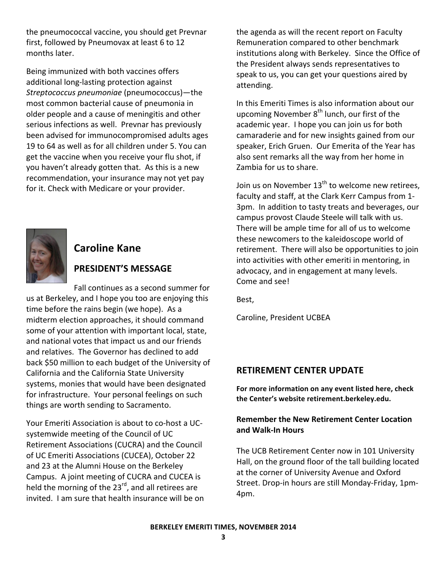the pneumococcal vaccine, you should get Prevnar first, followed by Pneumovax at least 6 to 12 months later.

Being immunized with both vaccines offers additional long-lasting protection against *Streptococcus pneumoniae)*(pneumococcus)—the! most common bacterial cause of pneumonia in older people and a cause of meningitis and other serious infections as well. Prevnar has previously been advised for immunocompromised adults ages 19 to 64 as well as for all children under 5. You can get the vaccine when you receive your flu shot, if you haven't already gotten that. As this is a new recommendation, your insurance may not yet pay for it. Check with Medicare or your provider.



# **Caroline Kane**

# PRESIDENT'S MESSAGE

Fall continues as a second summer for us at Berkeley, and I hope you too are enjoying this time before the rains begin (we hope). As a midterm election approaches, it should command some of your attention with important local, state, and national votes that impact us and our friends and relatives. The Governor has declined to add back \$50 million to each budget of the University of California and the California State University systems, monies that would have been designated for infrastructure. Your personal feelings on such things are worth sending to Sacramento.

Your Emeriti Association is about to co-host a UCsystemwide meeting of the Council of UC Retirement Associations (CUCRA) and the Council of UC Emeriti Associations (CUCEA), October 22 and 23 at the Alumni House on the Berkeley Campus. A joint meeting of CUCRA and CUCEA is held the morning of the 23<sup>rd</sup>, and all retirees are invited. I am sure that health insurance will be on the agenda as will the recent report on Faculty Remuneration compared to other benchmark institutions along with Berkeley. Since the Office of the President always sends representatives to speak to us, you can get your questions aired by attending.

In this Emeriti Times is also information about our upcoming November 8<sup>th</sup> lunch, our first of the academic year. I hope you can join us for both camaraderie and for new insights gained from our speaker, Erich Gruen. Our Emerita of the Year has also sent remarks all the way from her home in Zambia for us to share.

Join us on November  $13<sup>th</sup>$  to welcome new retirees, faculty and staff, at the Clark Kerr Campus from 1-3pm. In addition to tasty treats and beverages, our campus provost Claude Steele will talk with us. There will be ample time for all of us to welcome these newcomers to the kaleidoscope world of retirement. There will also be opportunities to join into activities with other emeriti in mentoring, in advocacy, and in engagement at many levels. Come and see!

Best,

Caroline, President UCBEA

# **RETIREMENT CENTER UPDATE**

For more information on any event listed here, check the Center's website retirement.berkeley.edu.

### **Remember the New Retirement Center Location and!Walk^In!Hours**

The UCB Retirement Center now in 101 University Hall, on the ground floor of the tall building located at the corner of University Avenue and Oxford Street. Drop-in hours are still Monday-Friday, 1pm-4pm.!